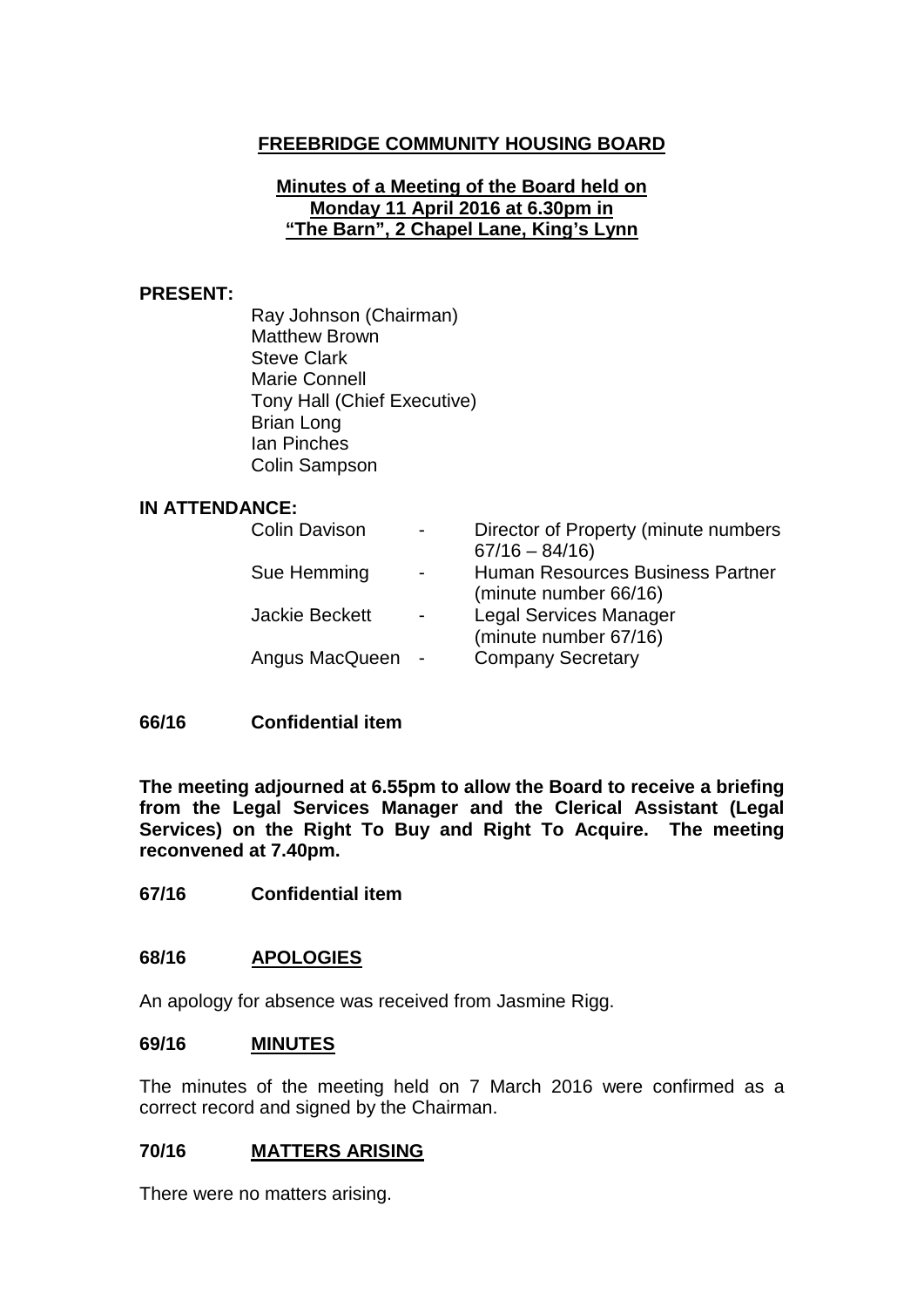# **FREEBRIDGE COMMUNITY HOUSING BOARD**

### **Minutes of a Meeting of the Board held on Monday 11 April 2016 at 6.30pm in "The Barn", 2 Chapel Lane, King's Lynn**

#### **PRESENT:**

Ray Johnson (Chairman) Matthew Brown Steve Clark Marie Connell Tony Hall (Chief Executive) Brian Long Ian Pinches Colin Sampson

#### **IN ATTENDANCE:**

| <b>Colin Davison</b>  | Director of Property (minute numbers    |
|-----------------------|-----------------------------------------|
|                       | $67/16 - 84/16$                         |
| Sue Hemming           | <b>Human Resources Business Partner</b> |
|                       | (minute number 66/16)                   |
| <b>Jackie Beckett</b> | <b>Legal Services Manager</b>           |
|                       | (minute number 67/16)                   |
| Angus MacQueen        | <b>Company Secretary</b>                |
|                       |                                         |

## **66/16 Confidential item**

**The meeting adjourned at 6.55pm to allow the Board to receive a briefing from the Legal Services Manager and the Clerical Assistant (Legal Services) on the Right To Buy and Right To Acquire. The meeting reconvened at 7.40pm.**

**67/16 Confidential item**

### **68/16 APOLOGIES**

An apology for absence was received from Jasmine Rigg.

#### **69/16 MINUTES**

The minutes of the meeting held on 7 March 2016 were confirmed as a correct record and signed by the Chairman.

### **70/16 MATTERS ARISING**

There were no matters arising.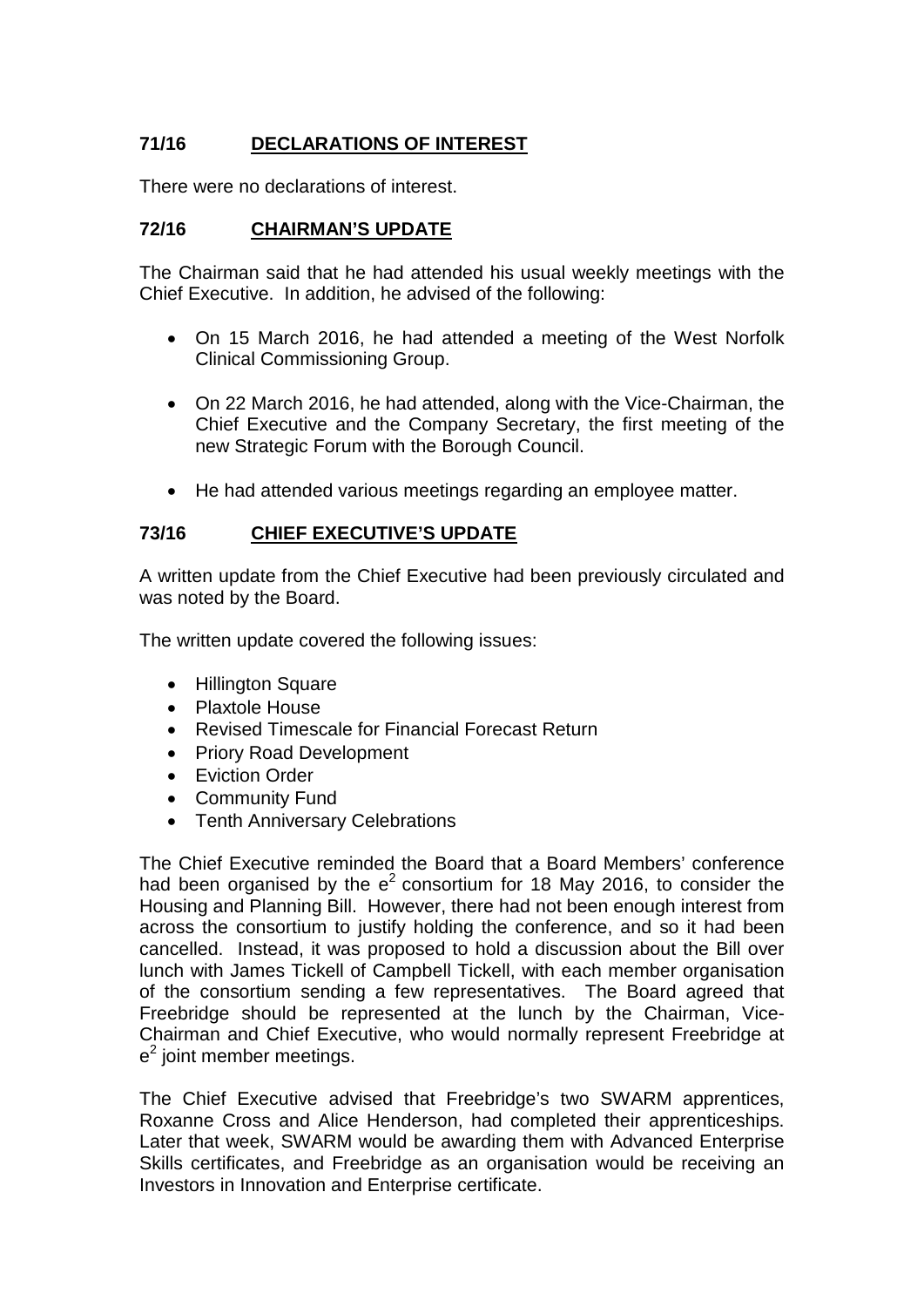# **71/16 DECLARATIONS OF INTEREST**

There were no declarations of interest.

# **72/16 CHAIRMAN'S UPDATE**

The Chairman said that he had attended his usual weekly meetings with the Chief Executive. In addition, he advised of the following:

- On 15 March 2016, he had attended a meeting of the West Norfolk Clinical Commissioning Group.
- On 22 March 2016, he had attended, along with the Vice-Chairman, the Chief Executive and the Company Secretary, the first meeting of the new Strategic Forum with the Borough Council.
- He had attended various meetings regarding an employee matter.

### **73/16 CHIEF EXECUTIVE'S UPDATE**

A written update from the Chief Executive had been previously circulated and was noted by the Board.

The written update covered the following issues:

- Hillington Square
- Plaxtole House
- Revised Timescale for Financial Forecast Return
- Priory Road Development
- Eviction Order
- Community Fund
- Tenth Anniversary Celebrations

The Chief Executive reminded the Board that a Board Members' conference had been organised by the  $e^2$  consortium for 18 May 2016, to consider the Housing and Planning Bill. However, there had not been enough interest from across the consortium to justify holding the conference, and so it had been cancelled. Instead, it was proposed to hold a discussion about the Bill over lunch with James Tickell of Campbell Tickell, with each member organisation of the consortium sending a few representatives. The Board agreed that Freebridge should be represented at the lunch by the Chairman, Vice-Chairman and Chief Executive, who would normally represent Freebridge at  $e<sup>2</sup>$  joint member meetings.

The Chief Executive advised that Freebridge's two SWARM apprentices, Roxanne Cross and Alice Henderson, had completed their apprenticeships. Later that week, SWARM would be awarding them with Advanced Enterprise Skills certificates, and Freebridge as an organisation would be receiving an Investors in Innovation and Enterprise certificate.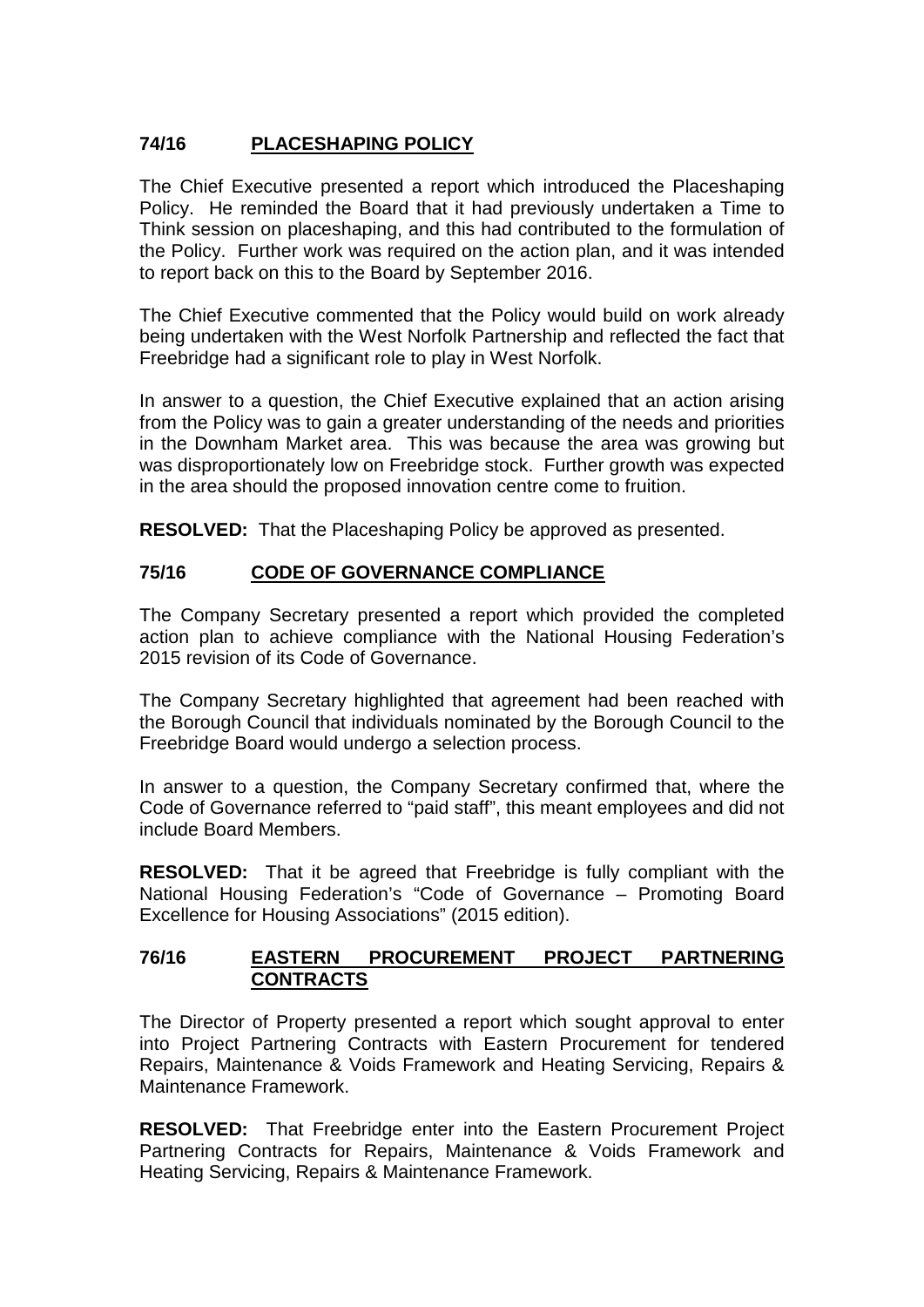# **74/16 PLACESHAPING POLICY**

The Chief Executive presented a report which introduced the Placeshaping Policy. He reminded the Board that it had previously undertaken a Time to Think session on placeshaping, and this had contributed to the formulation of the Policy. Further work was required on the action plan, and it was intended to report back on this to the Board by September 2016.

The Chief Executive commented that the Policy would build on work already being undertaken with the West Norfolk Partnership and reflected the fact that Freebridge had a significant role to play in West Norfolk.

In answer to a question, the Chief Executive explained that an action arising from the Policy was to gain a greater understanding of the needs and priorities in the Downham Market area. This was because the area was growing but was disproportionately low on Freebridge stock. Further growth was expected in the area should the proposed innovation centre come to fruition.

**RESOLVED:** That the Placeshaping Policy be approved as presented.

# **75/16 CODE OF GOVERNANCE COMPLIANCE**

The Company Secretary presented a report which provided the completed action plan to achieve compliance with the National Housing Federation's 2015 revision of its Code of Governance.

The Company Secretary highlighted that agreement had been reached with the Borough Council that individuals nominated by the Borough Council to the Freebridge Board would undergo a selection process.

In answer to a question, the Company Secretary confirmed that, where the Code of Governance referred to "paid staff", this meant employees and did not include Board Members.

**RESOLVED:** That it be agreed that Freebridge is fully compliant with the National Housing Federation's "Code of Governance – Promoting Board Excellence for Housing Associations" (2015 edition).

### **76/16 EASTERN PROCUREMENT PROJECT PARTNERING CONTRACTS**

The Director of Property presented a report which sought approval to enter into Project Partnering Contracts with Eastern Procurement for tendered Repairs, Maintenance & Voids Framework and Heating Servicing, Repairs & Maintenance Framework.

**RESOLVED:** That Freebridge enter into the Eastern Procurement Project Partnering Contracts for Repairs, Maintenance & Voids Framework and Heating Servicing, Repairs & Maintenance Framework.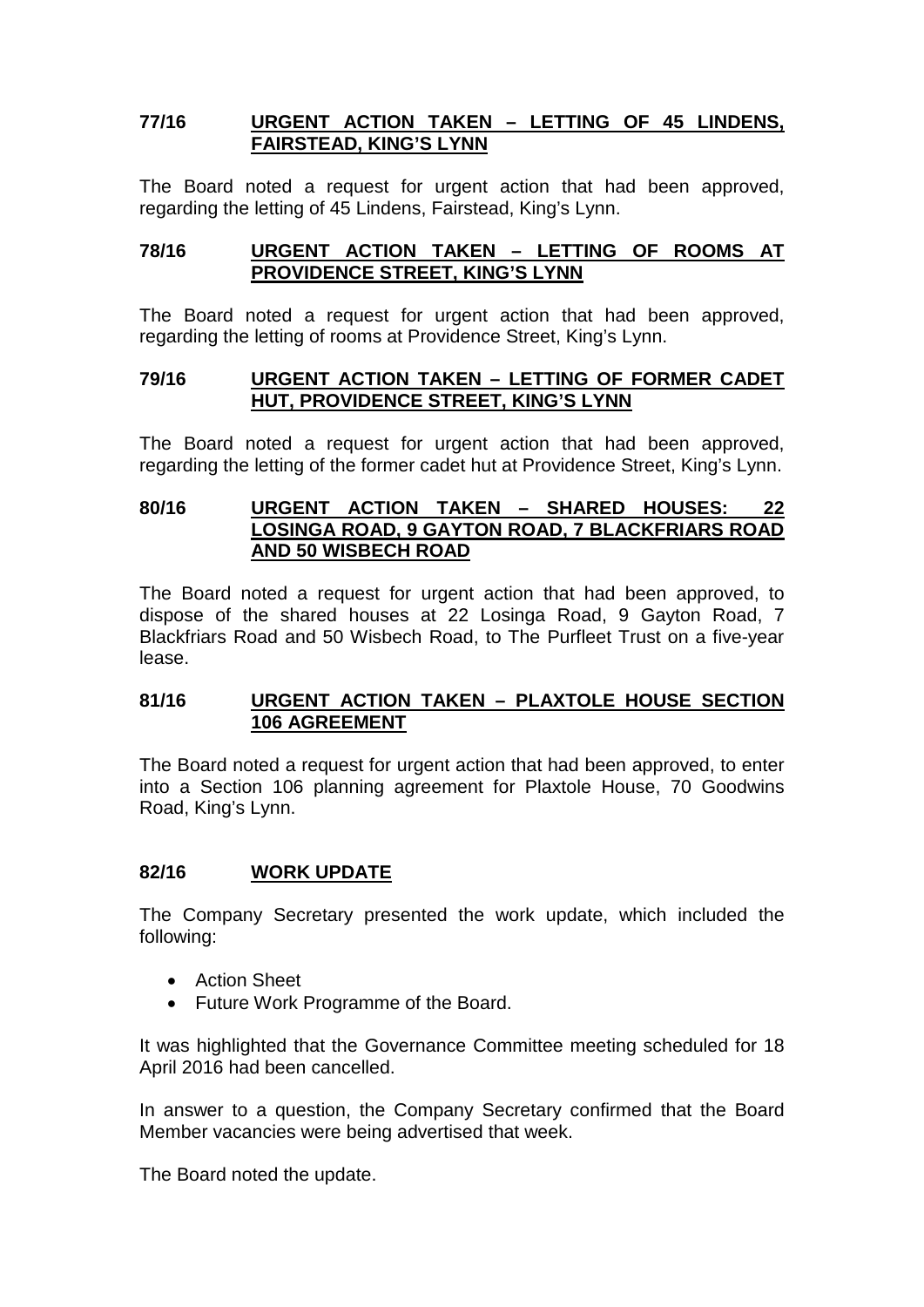## **77/16 URGENT ACTION TAKEN – LETTING OF 45 LINDENS, FAIRSTEAD, KING'S LYNN**

The Board noted a request for urgent action that had been approved, regarding the letting of 45 Lindens, Fairstead, King's Lynn.

### **78/16 URGENT ACTION TAKEN – LETTING OF ROOMS AT PROVIDENCE STREET, KING'S LYNN**

The Board noted a request for urgent action that had been approved, regarding the letting of rooms at Providence Street, King's Lynn.

#### **79/16 URGENT ACTION TAKEN – LETTING OF FORMER CADET HUT, PROVIDENCE STREET, KING'S LYNN**

The Board noted a request for urgent action that had been approved, regarding the letting of the former cadet hut at Providence Street, King's Lynn.

### **80/16 URGENT ACTION TAKEN – SHARED HOUSES: 22 LOSINGA ROAD, 9 GAYTON ROAD, 7 BLACKFRIARS ROAD AND 50 WISBECH ROAD**

The Board noted a request for urgent action that had been approved, to dispose of the shared houses at 22 Losinga Road, 9 Gayton Road, 7 Blackfriars Road and 50 Wisbech Road, to The Purfleet Trust on a five-year lease.

#### **81/16 URGENT ACTION TAKEN – PLAXTOLE HOUSE SECTION 106 AGREEMENT**

The Board noted a request for urgent action that had been approved, to enter into a Section 106 planning agreement for Plaxtole House, 70 Goodwins Road, King's Lynn.

### **82/16 WORK UPDATE**

The Company Secretary presented the work update, which included the following:

- Action Sheet
- Future Work Programme of the Board.

It was highlighted that the Governance Committee meeting scheduled for 18 April 2016 had been cancelled.

In answer to a question, the Company Secretary confirmed that the Board Member vacancies were being advertised that week.

The Board noted the update.